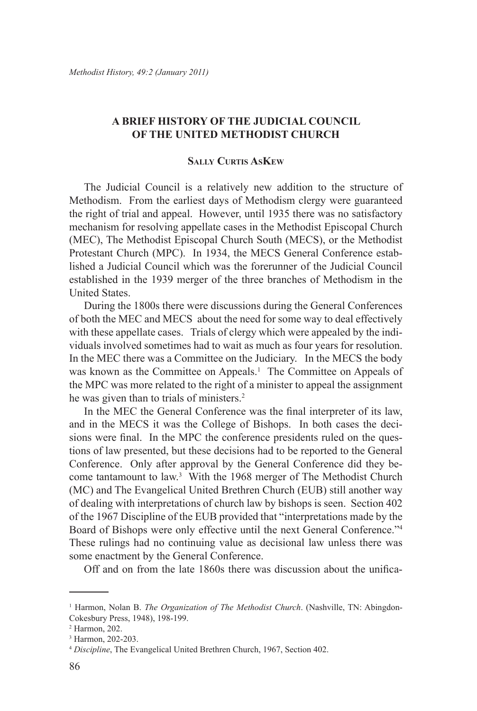# **A BRIEF HISTORY OF THE JUDICIAL COUNCIL OF THE UNITED METHODIST CHURCH**

## **Sally Curtis AsKew**

The Judicial Council is a relatively new addition to the structure of Methodism. From the earliest days of Methodism clergy were guaranteed the right of trial and appeal. However, until 1935 there was no satisfactory mechanism for resolving appellate cases in the Methodist Episcopal Church (MEC), The Methodist Episcopal Church South (MECS), or the Methodist Protestant Church (MPC). In 1934, the MECS General Conference established a Judicial Council which was the forerunner of the Judicial Council established in the 1939 merger of the three branches of Methodism in the United States.

During the 1800s there were discussions during the General Conferences of both the MEC and MECS about the need for some way to deal effectively with these appellate cases. Trials of clergy which were appealed by the individuals involved sometimes had to wait as much as four years for resolution. In the MEC there was a Committee on the Judiciary. In the MECS the body was known as the Committee on Appeals.<sup>1</sup> The Committee on Appeals of the MPC was more related to the right of a minister to appeal the assignment he was given than to trials of ministers.<sup>2</sup>

In the MEC the General Conference was the final interpreter of its law, and in the MECS it was the College of Bishops. In both cases the decisions were final. In the MPC the conference presidents ruled on the questions of law presented, but these decisions had to be reported to the General Conference. Only after approval by the General Conference did they become tantamount to law.<sup>3</sup> With the 1968 merger of The Methodist Church (MC) and The Evangelical United Brethren Church (EUB) still another way of dealing with interpretations of church law by bishops is seen. Section 402 of the 1967 Discipline of the EUB provided that "interpretations made by the Board of Bishops were only effective until the next General Conference."4 These rulings had no continuing value as decisional law unless there was some enactment by the General Conference.

Off and on from the late 1860s there was discussion about the unifica-

<sup>&</sup>lt;sup>1</sup> Harmon, Nolan B. *The Organization of The Methodist Church*. (Nashville, TN: Abingdon-Cokesbury Press, 1948), 198-199.

<sup>2</sup> Harmon, 202.

<sup>3</sup> Harmon, 202-203.

<sup>4</sup> *Discipline*, The Evangelical United Brethren Church, 1967, Section 402.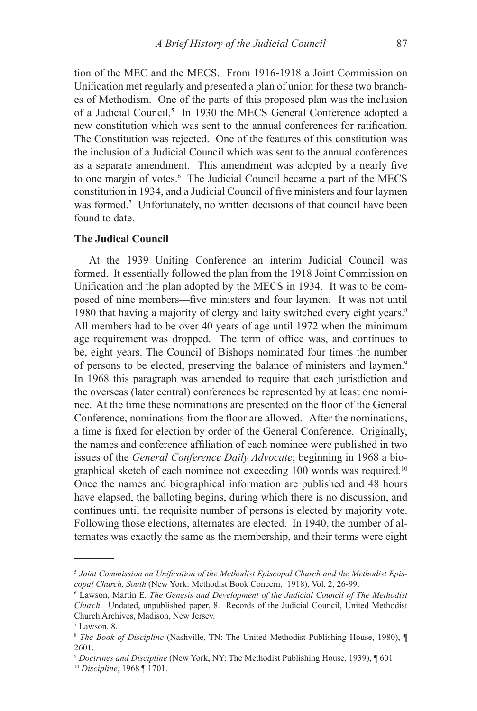tion of the MEC and the MECS. From 1916-1918 a Joint Commission on Unification met regularly and presented a plan of union for these two branches of Methodism. One of the parts of this proposed plan was the inclusion of a Judicial Council.<sup>5</sup> In 1930 the MECS General Conference adopted a new constitution which was sent to the annual conferences for ratification. The Constitution was rejected. One of the features of this constitution was the inclusion of a Judicial Council which was sent to the annual conferences as a separate amendment. This amendment was adopted by a nearly five to one margin of votes.6 The Judicial Council became a part of the MECS constitution in 1934, and a Judicial Council of five ministers and four laymen was formed.<sup>7</sup> Unfortunately, no written decisions of that council have been found to date.

### **The Judical Council**

At the 1939 Uniting Conference an interim Judicial Council was formed. It essentially followed the plan from the 1918 Joint Commission on Unification and the plan adopted by the MECS in 1934. It was to be composed of nine members—five ministers and four laymen. It was not until 1980 that having a majority of clergy and laity switched every eight years.<sup>8</sup> All members had to be over 40 years of age until 1972 when the minimum age requirement was dropped. The term of office was, and continues to be, eight years. The Council of Bishops nominated four times the number of persons to be elected, preserving the balance of ministers and laymen.<sup>9</sup> In 1968 this paragraph was amended to require that each jurisdiction and the overseas (later central) conferences be represented by at least one nominee. At the time these nominations are presented on the floor of the General Conference, nominations from the floor are allowed. After the nominations, a time is fixed for election by order of the General Conference. Originally, the names and conference affiliation of each nominee were published in two issues of the *General Conference Daily Advocate*; beginning in 1968 a biographical sketch of each nominee not exceeding 100 words was required.10 Once the names and biographical information are published and 48 hours have elapsed, the balloting begins, during which there is no discussion, and continues until the requisite number of persons is elected by majority vote. Following those elections, alternates are elected. In 1940, the number of alternates was exactly the same as the membership, and their terms were eight

<sup>5</sup> *Joint Commission on Unification of the Methodist Episcopal Church and the Methodist Episcopal Church, South* (New York: Methodist Book Concern, 1918), Vol. 2, 26-99.

<sup>6</sup> Lawson, Martin E. *The Genesis and Development of the Judicial Council of The Methodist Church*. Undated, unpublished paper, 8. Records of the Judicial Council, United Methodist Church Archives, Madison, New Jersey.

 $7$  Lawson, 8.

<sup>8</sup> *The Book of Discipline* (Nashville, TN: The United Methodist Publishing House, 1980), ¶ 2601.

<sup>9</sup> *Doctrines and Discipline* (New York, NY: The Methodist Publishing House, 1939), ¶ 601. <sup>10</sup> *Discipline*, 1968 ¶ 1701.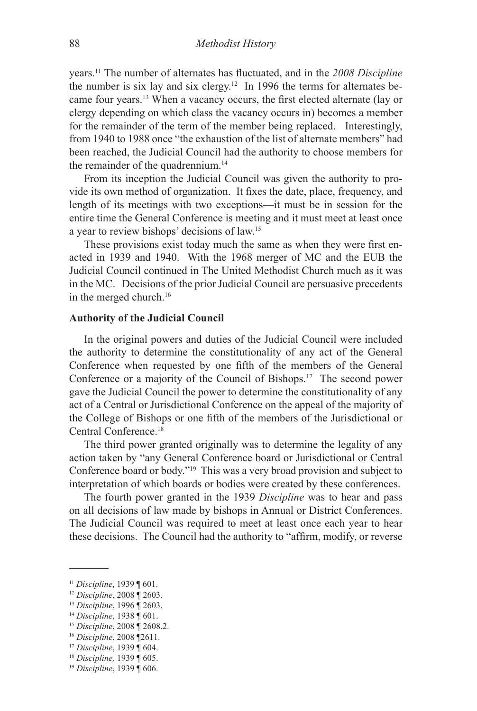years.11 The number of alternates has fluctuated, and in the *2008 Discipline* the number is six lay and six clergy.<sup>12</sup> In 1996 the terms for alternates became four years.13 When a vacancy occurs, the first elected alternate (lay or clergy depending on which class the vacancy occurs in) becomes a member for the remainder of the term of the member being replaced. Interestingly, from 1940 to 1988 once "the exhaustion of the list of alternate members" had been reached, the Judicial Council had the authority to choose members for the remainder of the quadrennium.<sup>14</sup>

From its inception the Judicial Council was given the authority to provide its own method of organization. It fixes the date, place, frequency, and length of its meetings with two exceptions—it must be in session for the entire time the General Conference is meeting and it must meet at least once a year to review bishops' decisions of law.15

These provisions exist today much the same as when they were first enacted in 1939 and 1940. With the 1968 merger of MC and the EUB the Judicial Council continued in The United Methodist Church much as it was in the MC. Decisions of the prior Judicial Council are persuasive precedents in the merged church.16

### **Authority of the Judicial Council**

In the original powers and duties of the Judicial Council were included the authority to determine the constitutionality of any act of the General Conference when requested by one fifth of the members of the General Conference or a majority of the Council of Bishops.17 The second power gave the Judicial Council the power to determine the constitutionality of any act of a Central or Jurisdictional Conference on the appeal of the majority of the College of Bishops or one fifth of the members of the Jurisdictional or Central Conference<sup>18</sup>

The third power granted originally was to determine the legality of any action taken by "any General Conference board or Jurisdictional or Central Conference board or body."19 This was a very broad provision and subject to interpretation of which boards or bodies were created by these conferences.

The fourth power granted in the 1939 *Discipline* was to hear and pass on all decisions of law made by bishops in Annual or District Conferences. The Judicial Council was required to meet at least once each year to hear these decisions. The Council had the authority to "affirm, modify, or reverse

<sup>11</sup> *Discipline*, 1939 ¶ 601.

<sup>12</sup> *Discipline*, 2008 ¶ 2603.

<sup>13</sup> *Discipline*, 1996 ¶ 2603.

<sup>14</sup> *Discipline*, 1938 ¶ 601.

<sup>15</sup> *Discipline*, 2008 ¶ 2608.2.

<sup>16</sup> *Discipline*, 2008 ¶2611.

<sup>17</sup> *Discipline*, 1939 ¶ 604.

<sup>18</sup> *Discipline,* 1939 ¶ 605.

<sup>19</sup> *Discipline*, 1939 ¶ 606.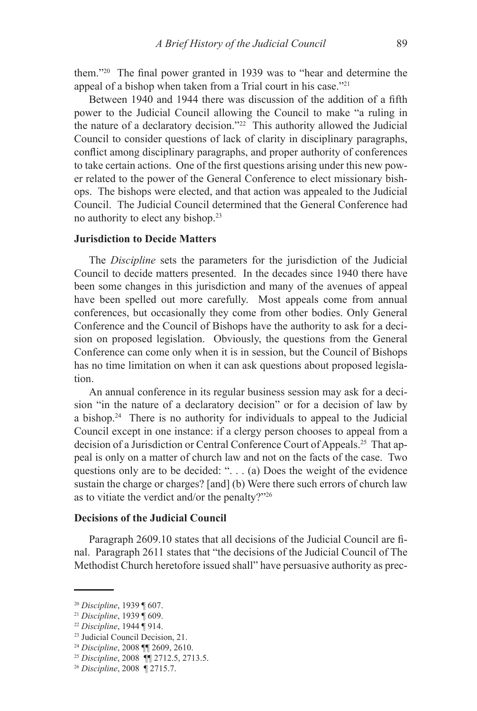them."20 The final power granted in 1939 was to "hear and determine the appeal of a bishop when taken from a Trial court in his case."21

Between 1940 and 1944 there was discussion of the addition of a fifth power to the Judicial Council allowing the Council to make "a ruling in the nature of a declaratory decision."22 This authority allowed the Judicial Council to consider questions of lack of clarity in disciplinary paragraphs, conflict among disciplinary paragraphs, and proper authority of conferences to take certain actions. One of the first questions arising under this new power related to the power of the General Conference to elect missionary bishops. The bishops were elected, and that action was appealed to the Judicial Council. The Judicial Council determined that the General Conference had no authority to elect any bishop.23

## **Jurisdiction to Decide Matters**

The *Discipline* sets the parameters for the jurisdiction of the Judicial Council to decide matters presented. In the decades since 1940 there have been some changes in this jurisdiction and many of the avenues of appeal have been spelled out more carefully. Most appeals come from annual conferences, but occasionally they come from other bodies. Only General Conference and the Council of Bishops have the authority to ask for a decision on proposed legislation. Obviously, the questions from the General Conference can come only when it is in session, but the Council of Bishops has no time limitation on when it can ask questions about proposed legislation.

An annual conference in its regular business session may ask for a decision "in the nature of a declaratory decision" or for a decision of law by a bishop.24 There is no authority for individuals to appeal to the Judicial Council except in one instance: if a clergy person chooses to appeal from a decision of a Jurisdiction or Central Conference Court of Appeals.25 That appeal is only on a matter of church law and not on the facts of the case. Two questions only are to be decided: ". . . (a) Does the weight of the evidence sustain the charge or charges? [and] (b) Were there such errors of church law as to vitiate the verdict and/or the penalty?"26

## **Decisions of the Judicial Council**

Paragraph 2609.10 states that all decisions of the Judicial Council are final. Paragraph 2611 states that "the decisions of the Judicial Council of The Methodist Church heretofore issued shall" have persuasive authority as prec-

23 Judicial Council Decision, 21.

<sup>20</sup> *Discipline*, 1939 ¶ 607.

<sup>21</sup> *Discipline*, 1939 ¶ 609.

<sup>22</sup> *Discipline*, 1944 ¶ 914.

<sup>24</sup> *Discipline*, 2008 ¶¶ 2609, 2610.

<sup>25</sup> *Discipline*, 2008 ¶¶ 2712.5, 2713.5.

<sup>26</sup> *Discipline*, 2008 ¶ 2715.7.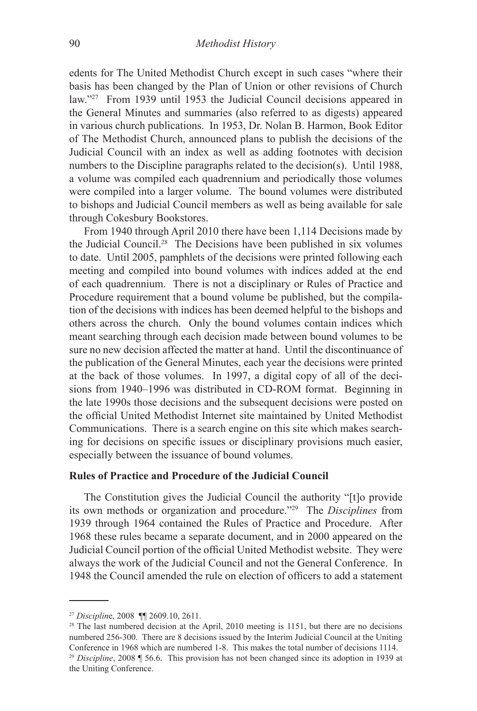edents for The United Methodist Church except in such cases "where their basis has been changed by the Plan of Union or other revisions of Church law."27 From 1939 until 1953 the Judicial Council decisions appeared in the General Minutes and summaries (also referred to as digests) appeared in various church publications. In 1953, Dr. Nolan B. Harmon, Book Editor of The Methodist Church, announced plans to publish the decisions of the Judicial Council with an index as well as adding footnotes with decision numbers to the Discipline paragraphs related to the decision(s). Until 1988, a volume was compiled each quadrennium and periodically those volumes were compiled into a larger volume. The bound volumes were distributed to bishops and Judicial Council members as well as being available for sale through Cokesbury Bookstores.

From 1940 through April 2010 there have been 1,114 Decisions made by the Judicial Council.28 The Decisions have been published in six volumes to date. Until 2005, pamphlets of the decisions were printed following each meeting and compiled into bound volumes with indices added at the end of each quadrennium. There is not a disciplinary or Rules of Practice and Procedure requirement that a bound volume be published, but the compilation of the decisions with indices has been deemed helpful to the bishops and others across the church. Only the bound volumes contain indices which meant searching through each decision made between bound volumes to be sure no new decision affected the matter at hand. Until the discontinuance of the publication of the General Minutes, each year the decisions were printed at the back of those volumes. In 1997, a digital copy of all of the decisions from 1940–1996 was distributed in CD-ROM format. Beginning in the late 1990s those decisions and the subsequent decisions were posted on the official United Methodist Internet site maintained by United Methodist Communications. There is a search engine on this site which makes searching for decisions on specific issues or disciplinary provisions much easier, especially between the issuance of bound volumes.

### **Rules of Practice and Procedure of the Judicial Council**

The Constitution gives the Judicial Council the authority "[t]o provide its own methods or organization and procedure."29 The *Disciplines* from 1939 through 1964 contained the Rules of Practice and Procedure. After 1968 these rules became a separate document, and in 2000 appeared on the Judicial Council portion of the official United Methodist website. They were always the work of the Judicial Council and not the General Conference. In 1948 the Council amended the rule on election of officers to add a statement

<sup>27</sup> *Disciplin*e*,* 2008 ¶¶ 2609.10, 2611.

 $28$  The last numbered decision at the April, 2010 meeting is 1151, but there are no decisions numbered 256-300. There are 8 decisions issued by the Interim Judicial Council at the Uniting Conference in 1968 which are numbered 1-8. This makes the total number of decisions 1114. <sup>29</sup> *Discipline*, 2008 ¶ 56.6. This provision has not been changed since its adoption in 1939 at the Uniting Conference.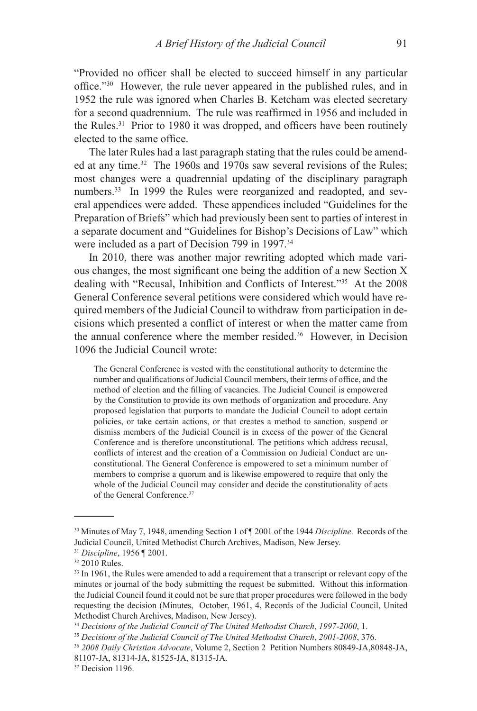"Provided no officer shall be elected to succeed himself in any particular office."30 However, the rule never appeared in the published rules, and in 1952 the rule was ignored when Charles B. Ketcham was elected secretary for a second quadrennium. The rule was reaffirmed in 1956 and included in the Rules.31 Prior to 1980 it was dropped, and officers have been routinely elected to the same office.

The later Rules had a last paragraph stating that the rules could be amended at any time.32 The 1960s and 1970s saw several revisions of the Rules; most changes were a quadrennial updating of the disciplinary paragraph numbers.<sup>33</sup> In 1999 the Rules were reorganized and readopted, and several appendices were added. These appendices included "Guidelines for the Preparation of Briefs" which had previously been sent to parties of interest in a separate document and "Guidelines for Bishop's Decisions of Law" which were included as a part of Decision 799 in 1997.<sup>34</sup>

In 2010, there was another major rewriting adopted which made various changes, the most significant one being the addition of a new Section X dealing with "Recusal, Inhibition and Conflicts of Interest."35 At the 2008 General Conference several petitions were considered which would have required members of the Judicial Council to withdraw from participation in decisions which presented a conflict of interest or when the matter came from the annual conference where the member resided.36 However, in Decision 1096 the Judicial Council wrote:

The General Conference is vested with the constitutional authority to determine the number and qualifications of Judicial Council members, their terms of office, and the method of election and the filling of vacancies. The Judicial Council is empowered by the Constitution to provide its own methods of organization and procedure. Any proposed legislation that purports to mandate the Judicial Council to adopt certain policies, or take certain actions, or that creates a method to sanction, suspend or dismiss members of the Judicial Council is in excess of the power of the General Conference and is therefore unconstitutional. The petitions which address recusal, conflicts of interest and the creation of a Commission on Judicial Conduct are unconstitutional. The General Conference is empowered to set a minimum number of members to comprise a quorum and is likewise empowered to require that only the whole of the Judicial Council may consider and decide the constitutionality of acts of the General Conference.37

<sup>30</sup> Minutes of May 7, 1948, amending Section 1 of ¶ 2001 of the 1944 *Discipline*. Records of the Judicial Council, United Methodist Church Archives, Madison, New Jersey.

<sup>31</sup> *Discipline*, 1956 ¶ 2001.

 $32$  2010 Rules.

<sup>&</sup>lt;sup>33</sup> In 1961, the Rules were amended to add a requirement that a transcript or relevant copy of the minutes or journal of the body submitting the request be submitted. Without this information the Judicial Council found it could not be sure that proper procedures were followed in the body requesting the decision (Minutes, October, 1961, 4, Records of the Judicial Council, United Methodist Church Archives, Madison, New Jersey).

<sup>34</sup> *Decisions of the Judicial Council of The United Methodist Church*, *1997-2000*, 1. 35 *Decisions of the Judicial Council of The United Methodist Church*, *2001-2008*, 376.

<sup>36</sup> *2008 Daily Christian Advocate*, Volume 2, Section 2 Petition Numbers 80849-JA,80848-JA, 81107-JA, 81314-JA, 81525-JA, 81315-JA.

<sup>&</sup>lt;sup>37</sup> Decision 1196.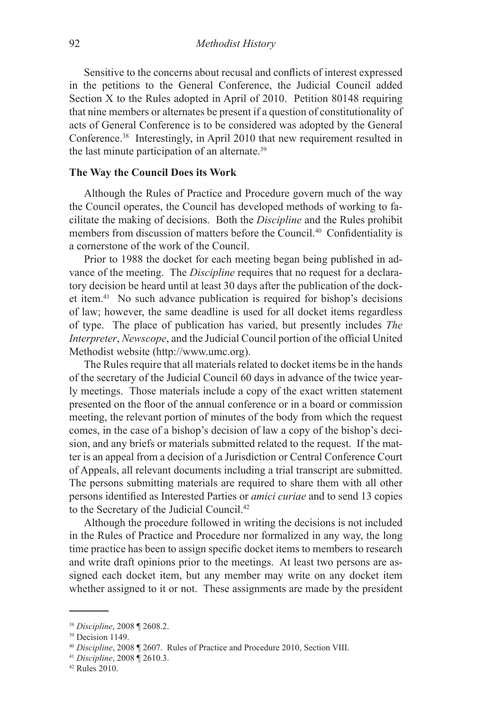Sensitive to the concerns about recusal and conflicts of interest expressed in the petitions to the General Conference, the Judicial Council added Section X to the Rules adopted in April of 2010. Petition 80148 requiring that nine members or alternates be present if a question of constitutionality of acts of General Conference is to be considered was adopted by the General Conference.38 Interestingly, in April 2010 that new requirement resulted in the last minute participation of an alternate.39

# **The Way the Council Does its Work**

Although the Rules of Practice and Procedure govern much of the way the Council operates, the Council has developed methods of working to facilitate the making of decisions. Both the *Discipline* and the Rules prohibit members from discussion of matters before the Council.40 Confidentiality is a cornerstone of the work of the Council.

Prior to 1988 the docket for each meeting began being published in advance of the meeting. The *Discipline* requires that no request for a declaratory decision be heard until at least 30 days after the publication of the docket item.41 No such advance publication is required for bishop's decisions of law; however, the same deadline is used for all docket items regardless of type. The place of publication has varied, but presently includes *The Interpreter*, *Newscope*, and the Judicial Council portion of the official United Methodist website (http://www.umc.org).

The Rules require that all materials related to docket items be in the hands of the secretary of the Judicial Council 60 days in advance of the twice yearly meetings. Those materials include a copy of the exact written statement presented on the floor of the annual conference or in a board or commission meeting, the relevant portion of minutes of the body from which the request comes, in the case of a bishop's decision of law a copy of the bishop's decision, and any briefs or materials submitted related to the request. If the matter is an appeal from a decision of a Jurisdiction or Central Conference Court of Appeals, all relevant documents including a trial transcript are submitted. The persons submitting materials are required to share them with all other persons identified as Interested Parties or *amici curiae* and to send 13 copies to the Secretary of the Judicial Council.42

Although the procedure followed in writing the decisions is not included in the Rules of Practice and Procedure nor formalized in any way, the long time practice has been to assign specific docket items to members to research and write draft opinions prior to the meetings. At least two persons are assigned each docket item, but any member may write on any docket item whether assigned to it or not. These assignments are made by the president

<sup>38</sup> *Discipline*, 2008 ¶ 2608.2.

<sup>&</sup>lt;sup>39</sup> Decision 1149.

<sup>40</sup> *Discipline*, 2008 ¶ 2607. Rules of Practice and Procedure 2010, Section VIII. 41 *Discipline*, 2008 ¶ 2610.3.

<sup>42</sup> Rules 2010.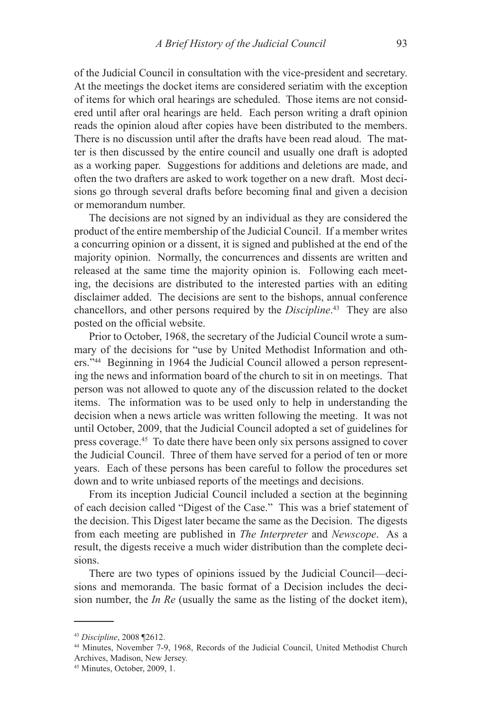of the Judicial Council in consultation with the vice-president and secretary. At the meetings the docket items are considered seriatim with the exception of items for which oral hearings are scheduled. Those items are not considered until after oral hearings are held. Each person writing a draft opinion reads the opinion aloud after copies have been distributed to the members. There is no discussion until after the drafts have been read aloud. The matter is then discussed by the entire council and usually one draft is adopted as a working paper. Suggestions for additions and deletions are made, and often the two drafters are asked to work together on a new draft. Most decisions go through several drafts before becoming final and given a decision or memorandum number.

The decisions are not signed by an individual as they are considered the product of the entire membership of the Judicial Council. If a member writes a concurring opinion or a dissent, it is signed and published at the end of the majority opinion. Normally, the concurrences and dissents are written and released at the same time the majority opinion is. Following each meeting, the decisions are distributed to the interested parties with an editing disclaimer added. The decisions are sent to the bishops, annual conference chancellors, and other persons required by the *Discipline*. 43 They are also posted on the official website.

Prior to October, 1968, the secretary of the Judicial Council wrote a summary of the decisions for "use by United Methodist Information and others."44 Beginning in 1964 the Judicial Council allowed a person representing the news and information board of the church to sit in on meetings. That person was not allowed to quote any of the discussion related to the docket items. The information was to be used only to help in understanding the decision when a news article was written following the meeting. It was not until October, 2009, that the Judicial Council adopted a set of guidelines for press coverage.45 To date there have been only six persons assigned to cover the Judicial Council. Three of them have served for a period of ten or more years. Each of these persons has been careful to follow the procedures set down and to write unbiased reports of the meetings and decisions.

From its inception Judicial Council included a section at the beginning of each decision called "Digest of the Case." This was a brief statement of the decision. This Digest later became the same as the Decision. The digests from each meeting are published in *The Interpreter* and *Newscope*. As a result, the digests receive a much wider distribution than the complete decisions.

There are two types of opinions issued by the Judicial Council—decisions and memoranda. The basic format of a Decision includes the decision number, the *In Re* (usually the same as the listing of the docket item),

<sup>43</sup> *Discipline*, 2008 ¶2612.

<sup>44</sup> Minutes, November 7-9, 1968, Records of the Judicial Council, United Methodist Church Archives, Madison, New Jersey.

<sup>45</sup> Minutes, October, 2009, 1.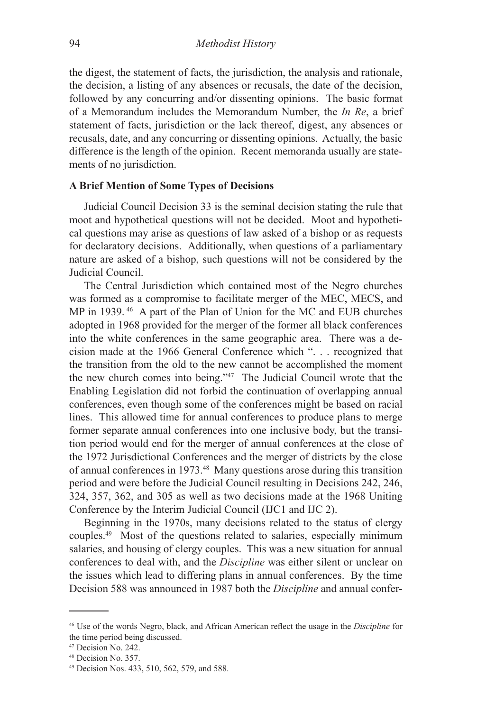the digest, the statement of facts, the jurisdiction, the analysis and rationale, the decision, a listing of any absences or recusals, the date of the decision, followed by any concurring and/or dissenting opinions. The basic format of a Memorandum includes the Memorandum Number, the *In Re*, a brief statement of facts, jurisdiction or the lack thereof, digest, any absences or recusals, date, and any concurring or dissenting opinions. Actually, the basic difference is the length of the opinion. Recent memoranda usually are statements of no jurisdiction.

#### **A Brief Mention of Some Types of Decisions**

Judicial Council Decision 33 is the seminal decision stating the rule that moot and hypothetical questions will not be decided. Moot and hypothetical questions may arise as questions of law asked of a bishop or as requests for declaratory decisions. Additionally, when questions of a parliamentary nature are asked of a bishop, such questions will not be considered by the Judicial Council.

The Central Jurisdiction which contained most of the Negro churches was formed as a compromise to facilitate merger of the MEC, MECS, and MP in 1939. 46 A part of the Plan of Union for the MC and EUB churches adopted in 1968 provided for the merger of the former all black conferences into the white conferences in the same geographic area. There was a decision made at the 1966 General Conference which ". . . recognized that the transition from the old to the new cannot be accomplished the moment the new church comes into being."47 The Judicial Council wrote that the Enabling Legislation did not forbid the continuation of overlapping annual conferences, even though some of the conferences might be based on racial lines. This allowed time for annual conferences to produce plans to merge former separate annual conferences into one inclusive body, but the transition period would end for the merger of annual conferences at the close of the 1972 Jurisdictional Conferences and the merger of districts by the close of annual conferences in 1973.48 Many questions arose during this transition period and were before the Judicial Council resulting in Decisions 242, 246, 324, 357, 362, and 305 as well as two decisions made at the 1968 Uniting Conference by the Interim Judicial Council (IJC1 and IJC 2).

Beginning in the 1970s, many decisions related to the status of clergy couples.49 Most of the questions related to salaries, especially minimum salaries, and housing of clergy couples. This was a new situation for annual conferences to deal with, and the *Discipline* was either silent or unclear on the issues which lead to differing plans in annual conferences. By the time Decision 588 was announced in 1987 both the *Discipline* and annual confer-

<sup>46</sup> Use of the words Negro, black, and African American reflect the usage in the *Discipline* for the time period being discussed.

<sup>47</sup> Decision No. 242.

<sup>48</sup> Decision No. 357.

<sup>49</sup> Decision Nos. 433, 510, 562, 579, and 588.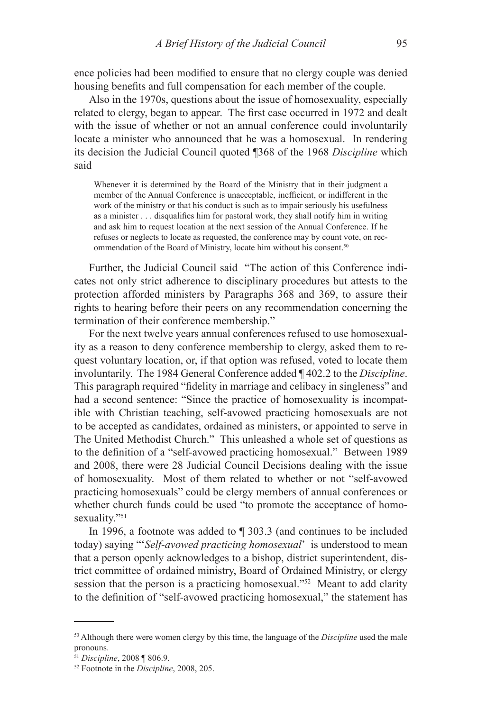ence policies had been modified to ensure that no clergy couple was denied housing benefits and full compensation for each member of the couple.

Also in the 1970s, questions about the issue of homosexuality, especially related to clergy, began to appear. The first case occurred in 1972 and dealt with the issue of whether or not an annual conference could involuntarily locate a minister who announced that he was a homosexual. In rendering its decision the Judicial Council quoted ¶368 of the 1968 *Discipline* which said

Whenever it is determined by the Board of the Ministry that in their judgment a member of the Annual Conference is unacceptable, inefficient, or indifferent in the work of the ministry or that his conduct is such as to impair seriously his usefulness as a minister . . . disqualifies him for pastoral work, they shall notify him in writing and ask him to request location at the next session of the Annual Conference. If he refuses or neglects to locate as requested, the conference may by count vote, on recommendation of the Board of Ministry, locate him without his consent.<sup>50</sup>

Further, the Judicial Council said "The action of this Conference indicates not only strict adherence to disciplinary procedures but attests to the protection afforded ministers by Paragraphs 368 and 369, to assure their rights to hearing before their peers on any recommendation concerning the termination of their conference membership."

For the next twelve years annual conferences refused to use homosexuality as a reason to deny conference membership to clergy, asked them to request voluntary location, or, if that option was refused, voted to locate them involuntarily. The 1984 General Conference added ¶ 402.2 to the *Discipline*. This paragraph required "fidelity in marriage and celibacy in singleness" and had a second sentence: "Since the practice of homosexuality is incompatible with Christian teaching, self-avowed practicing homosexuals are not to be accepted as candidates, ordained as ministers, or appointed to serve in The United Methodist Church." This unleashed a whole set of questions as to the definition of a "self-avowed practicing homosexual." Between 1989 and 2008, there were 28 Judicial Council Decisions dealing with the issue of homosexuality. Most of them related to whether or not "self-avowed practicing homosexuals" could be clergy members of annual conferences or whether church funds could be used "to promote the acceptance of homosexuality."<sup>51</sup>

In 1996, a footnote was added to ¶ 303.3 (and continues to be included today) saying "'*Self-avowed practicing homosexual*' is understood to mean that a person openly acknowledges to a bishop, district superintendent, district committee of ordained ministry, Board of Ordained Ministry, or clergy session that the person is a practicing homosexual."<sup>52</sup> Meant to add clarity to the definition of "self-avowed practicing homosexual," the statement has

<sup>50</sup> Although there were women clergy by this time, the language of the *Discipline* used the male pronouns.

<sup>51</sup> *Discipline*, 2008 ¶ 806.9.

<sup>52</sup> Footnote in the *Discipline*, 2008, 205.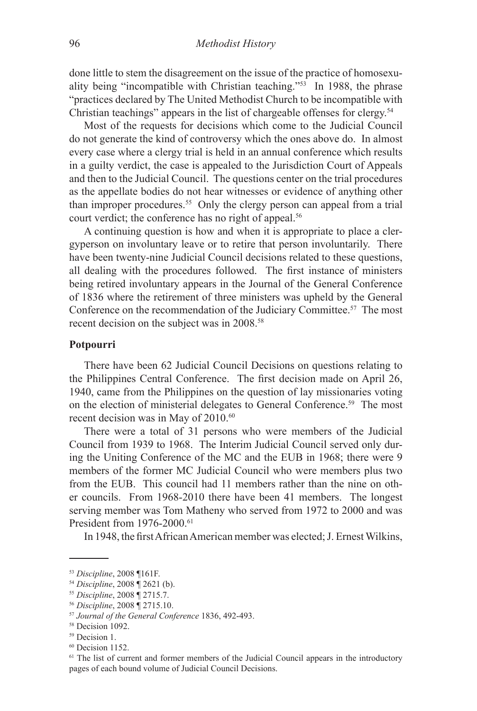done little to stem the disagreement on the issue of the practice of homosexuality being "incompatible with Christian teaching."53 In 1988, the phrase "practices declared by The United Methodist Church to be incompatible with Christian teachings" appears in the list of chargeable offenses for clergy.54

Most of the requests for decisions which come to the Judicial Council do not generate the kind of controversy which the ones above do. In almost every case where a clergy trial is held in an annual conference which results in a guilty verdict, the case is appealed to the Jurisdiction Court of Appeals and then to the Judicial Council. The questions center on the trial procedures as the appellate bodies do not hear witnesses or evidence of anything other than improper procedures.<sup>55</sup> Only the clergy person can appeal from a trial court verdict; the conference has no right of appeal.<sup>56</sup>

A continuing question is how and when it is appropriate to place a clergyperson on involuntary leave or to retire that person involuntarily. There have been twenty-nine Judicial Council decisions related to these questions, all dealing with the procedures followed. The first instance of ministers being retired involuntary appears in the Journal of the General Conference of 1836 where the retirement of three ministers was upheld by the General Conference on the recommendation of the Judiciary Committee.57 The most recent decision on the subject was in 2008.<sup>58</sup>

#### **Potpourri**

There have been 62 Judicial Council Decisions on questions relating to the Philippines Central Conference. The first decision made on April 26, 1940, came from the Philippines on the question of lay missionaries voting on the election of ministerial delegates to General Conference.<sup>59</sup> The most recent decision was in May of 2010.<sup>60</sup>

There were a total of 31 persons who were members of the Judicial Council from 1939 to 1968. The Interim Judicial Council served only during the Uniting Conference of the MC and the EUB in 1968; there were 9 members of the former MC Judicial Council who were members plus two from the EUB. This council had 11 members rather than the nine on other councils. From 1968-2010 there have been 41 members. The longest serving member was Tom Matheny who served from 1972 to 2000 and was President from 1976-2000.<sup>61</sup>

In 1948, the first African American member was elected; J. Ernest Wilkins,

<sup>53</sup> *Discipline*, 2008 ¶161F.

<sup>54</sup> *Discipline*, 2008 ¶ 2621 (b).

<sup>55</sup> *Discipline*, 2008 ¶ 2715.7.

<sup>56</sup> *Discipline*, 2008 ¶ 2715.10.

<sup>&</sup>lt;sup>57</sup> *Journal of the General Conference* 1836, 492-493.<br><sup>58</sup> Decision 1092.

<sup>&</sup>lt;sup>59</sup> Decision 1.

<sup>60</sup> Decision 1152.

<sup>&</sup>lt;sup>61</sup> The list of current and former members of the Judicial Council appears in the introductory pages of each bound volume of Judicial Council Decisions.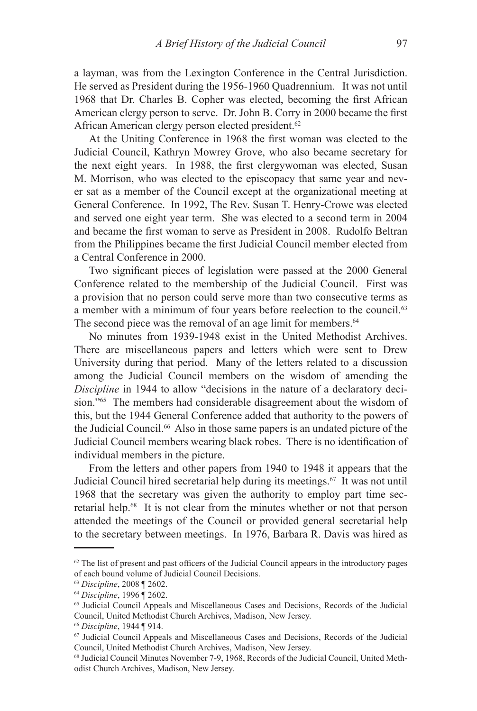a layman, was from the Lexington Conference in the Central Jurisdiction. He served as President during the 1956-1960 Quadrennium. It was not until 1968 that Dr. Charles B. Copher was elected, becoming the first African American clergy person to serve. Dr. John B. Corry in 2000 became the first African American clergy person elected president.<sup>62</sup>

At the Uniting Conference in 1968 the first woman was elected to the Judicial Council, Kathryn Mowrey Grove, who also became secretary for the next eight years. In 1988, the first clergywoman was elected, Susan M. Morrison, who was elected to the episcopacy that same year and never sat as a member of the Council except at the organizational meeting at General Conference. In 1992, The Rev. Susan T. Henry-Crowe was elected and served one eight year term. She was elected to a second term in 2004 and became the first woman to serve as President in 2008. Rudolfo Beltran from the Philippines became the first Judicial Council member elected from a Central Conference in 2000.

Two significant pieces of legislation were passed at the 2000 General Conference related to the membership of the Judicial Council. First was a provision that no person could serve more than two consecutive terms as a member with a minimum of four years before reelection to the council.<sup>63</sup> The second piece was the removal of an age limit for members.<sup>64</sup>

No minutes from 1939-1948 exist in the United Methodist Archives. There are miscellaneous papers and letters which were sent to Drew University during that period. Many of the letters related to a discussion among the Judicial Council members on the wisdom of amending the *Discipline* in 1944 to allow "decisions in the nature of a declaratory decision."65 The members had considerable disagreement about the wisdom of this, but the 1944 General Conference added that authority to the powers of the Judicial Council.66 Also in those same papers is an undated picture of the Judicial Council members wearing black robes. There is no identification of individual members in the picture.

From the letters and other papers from 1940 to 1948 it appears that the Judicial Council hired secretarial help during its meetings.67 It was not until 1968 that the secretary was given the authority to employ part time secretarial help.68 It is not clear from the minutes whether or not that person attended the meetings of the Council or provided general secretarial help to the secretary between meetings. In 1976, Barbara R. Davis was hired as

 $62$  The list of present and past officers of the Judicial Council appears in the introductory pages of each bound volume of Judicial Council Decisions.

<sup>63</sup> *Discipline*, 2008 ¶ 2602.

<sup>64</sup> *Discipline*, 1996 ¶ 2602.

<sup>65</sup> Judicial Council Appeals and Miscellaneous Cases and Decisions, Records of the Judicial Council, United Methodist Church Archives, Madison, New Jersey.

<sup>&</sup>lt;sup>66</sup> Discipline, 1944 ¶ 914.<br><sup>67</sup> Judicial Council Appeals and Miscellaneous Cases and Decisions, Records of the Judicial Council, United Methodist Church Archives, Madison, New Jersey.

<sup>68</sup> Judicial Council Minutes November 7-9, 1968, Records of the Judicial Council, United Methodist Church Archives, Madison, New Jersey.